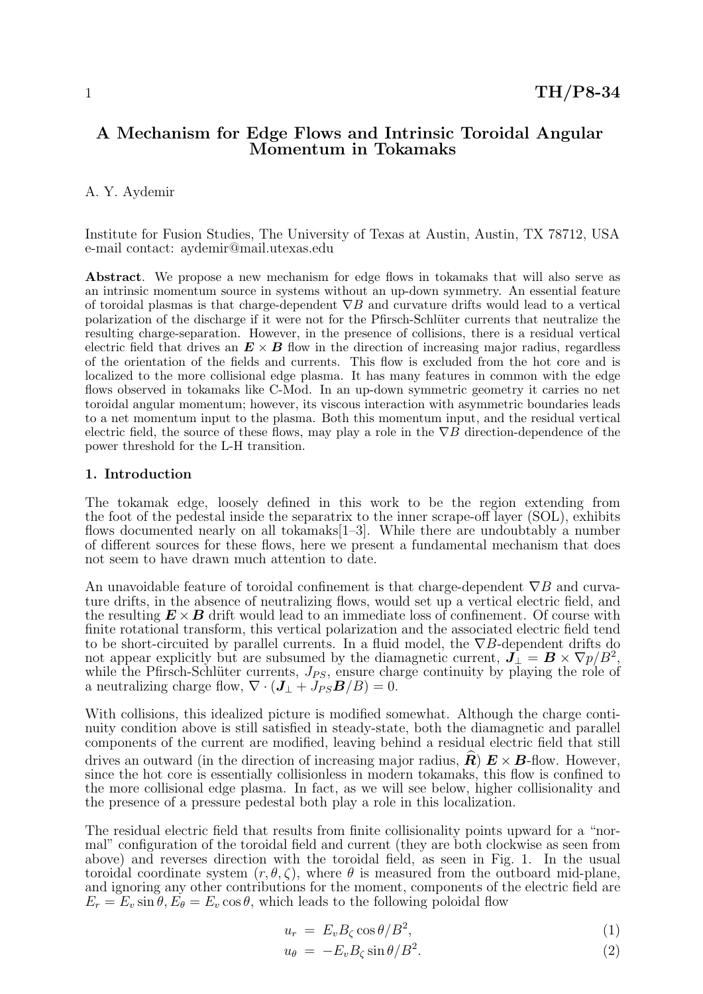# A Mechanism for Edge Flows and Intrinsic Toroidal Angular Momentum in Tokamaks

## A. Y. Aydemir

Institute for Fusion Studies, The University of Texas at Austin, Austin, TX 78712, USA e-mail contact: aydemir@mail.utexas.edu

Abstract. We propose a new mechanism for edge flows in tokamaks that will also serve as an intrinsic momentum source in systems without an up-down symmetry. An essential feature of toroidal plasmas is that charge-dependent  $\nabla B$  and curvature drifts would lead to a vertical polarization of the discharge if it were not for the Pfirsch-Schlüter currents that neutralize the resulting charge-separation. However, in the presence of collisions, there is a residual vertical electric field that drives an  $E \times B$  flow in the direction of increasing major radius, regardless of the orientation of the fields and currents. This flow is excluded from the hot core and is localized to the more collisional edge plasma. It has many features in common with the edge flows observed in tokamaks like C-Mod. In an up-down symmetric geometry it carries no net toroidal angular momentum; however, its viscous interaction with asymmetric boundaries leads to a net momentum input to the plasma. Both this momentum input, and the residual vertical electric field, the source of these flows, may play a role in the  $\nabla B$  direction-dependence of the power threshold for the L-H transition.

### 1. Introduction

The tokamak edge, loosely defined in this work to be the region extending from the foot of the pedestal inside the separatrix to the inner scrape-off layer (SOL), exhibits flows documented nearly on all tokamaks[1–3]. While there are undoubtably a number of different sources for these flows, here we present a fundamental mechanism that does not seem to have drawn much attention to date.

An unavoidable feature of toroidal confinement is that charge-dependent  $\nabla B$  and curvature drifts, in the absence of neutralizing flows, would set up a vertical electric field, and the resulting  $\bm{E} \times \bm{B}$  drift would lead to an immediate loss of confinement. Of course with finite rotational transform, this vertical polarization and the associated electric field tend to be short-circuited by parallel currents. In a fluid model, the  $\nabla B$ -dependent drifts do not appear explicitly but are subsumed by the diamagnetic current,  $\vec{J}_{\perp} = \vec{B} \times \nabla p / B^2$ , while the Pfirsch-Schlüter currents,  $J_{PS}$ , ensure charge continuity by playing the role of a neutralizing charge flow,  $\nabla \cdot (\mathbf{J}_{\perp} + J_{PS} \mathbf{B}/B) = 0.$ 

With collisions, this idealized picture is modified somewhat. Although the charge continuity condition above is still satisfied in steady-state, both the diamagnetic and parallel components of the current are modified, leaving behind a residual electric field that still drives an outward (in the direction of increasing major radius,  $\mathbf{R}$ )  $\mathbf{E} \times \mathbf{B}$ -flow. However, since the hot core is essentially collisionless in modern tokamaks, this flow is confined to the more collisional edge plasma. In fact, as we will see below, higher collisionality and the presence of a pressure pedestal both play a role in this localization.

The residual electric field that results from finite collisionality points upward for a "normal" configuration of the toroidal field and current (they are both clockwise as seen from above) and reverses direction with the toroidal field, as seen in Fig. 1. In the usual toroidal coordinate system  $(r, \theta, \zeta)$ , where  $\theta$  is measured from the outboard mid-plane, and ignoring any other contributions for the moment, components of the electric field are  $E_r = E_v \sin \theta$ ,  $E_{\theta} = E_v \cos \theta$ , which leads to the following poloidal flow

$$
u_r = E_v B_\zeta \cos \theta / B^2,\tag{1}
$$

$$
u_{\theta} = -E_v B_{\zeta} \sin \theta / B^2. \tag{2}
$$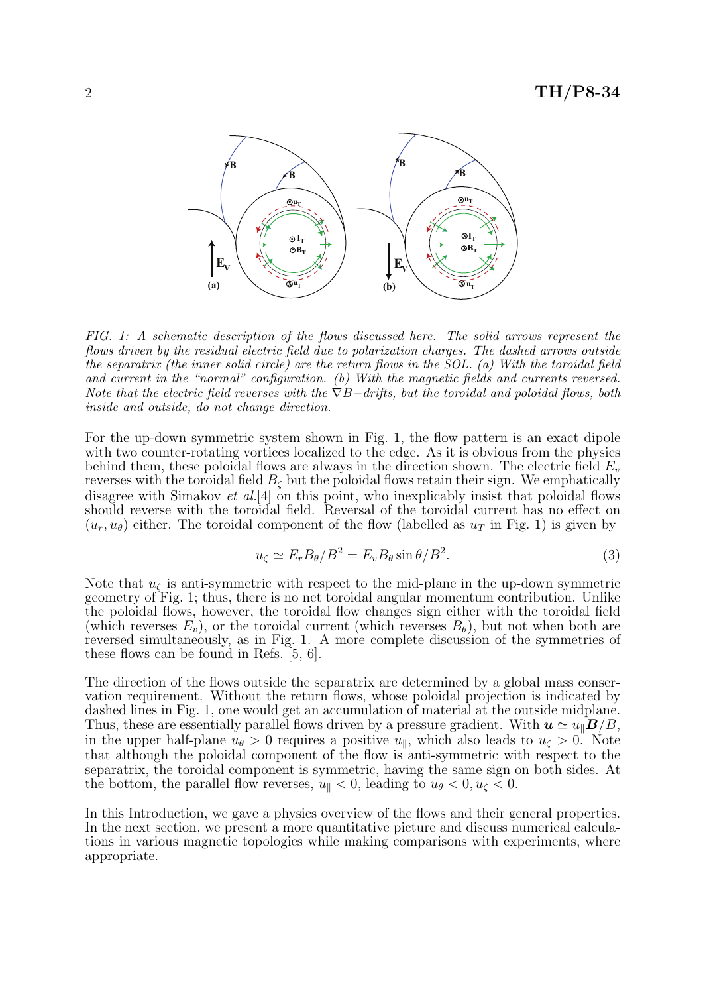

FIG. 1: A schematic description of the flows discussed here. The solid arrows represent the flows driven by the residual electric field due to polarization charges. The dashed arrows outside the separatrix (the inner solid circle) are the return flows in the SOL. (a) With the toroidal field and current in the "normal" configuration. (b) With the magnetic fields and currents reversed. Note that the electric field reverses with the  $\nabla B-drifts$ , but the toroidal and poloidal flows, both inside and outside, do not change direction.

For the up-down symmetric system shown in Fig. 1, the flow pattern is an exact dipole with two counter-rotating vortices localized to the edge. As it is obvious from the physics behind them, these poloidal flows are always in the direction shown. The electric field  $E_v$ reverses with the toroidal field  $B_{\zeta}$  but the poloidal flows retain their sign. We emphatically disagree with Simakov et al.<sup>[4]</sup> on this point, who inexplicably insist that poloidal flows should reverse with the toroidal field. Reversal of the toroidal current has no effect on  $(u_r, u_\theta)$  either. The toroidal component of the flow (labelled as  $u_T$  in Fig. 1) is given by

$$
u_{\zeta} \simeq E_r B_\theta / B^2 = E_v B_\theta \sin \theta / B^2. \tag{3}
$$

Note that  $u_{\zeta}$  is anti-symmetric with respect to the mid-plane in the up-down symmetric geometry of Fig. 1; thus, there is no net toroidal angular momentum contribution. Unlike the poloidal flows, however, the toroidal flow changes sign either with the toroidal field (which reverses  $E_v$ ), or the toroidal current (which reverses  $B_\theta$ ), but not when both are reversed simultaneously, as in Fig. 1. A more complete discussion of the symmetries of these flows can be found in Refs. [5, 6].

The direction of the flows outside the separatrix are determined by a global mass conservation requirement. Without the return flows, whose poloidal projection is indicated by dashed lines in Fig. 1, one would get an accumulation of material at the outside midplane. Thus, these are essentially parallel flows driven by a pressure gradient. With  $u \simeq u_{\parallel}B/B$ , in the upper half-plane  $u_{\theta} > 0$  requires a positive  $u_{\parallel}$ , which also leads to  $u_{\zeta} > 0$ . Note that although the poloidal component of the flow is anti-symmetric with respect to the separatrix, the toroidal component is symmetric, having the same sign on both sides. At the bottom, the parallel flow reverses,  $u_{\parallel} < 0$ , leading to  $u_{\theta} < 0, u_{\zeta} < 0$ .

In this Introduction, we gave a physics overview of the flows and their general properties. In the next section, we present a more quantitative picture and discuss numerical calculations in various magnetic topologies while making comparisons with experiments, where appropriate.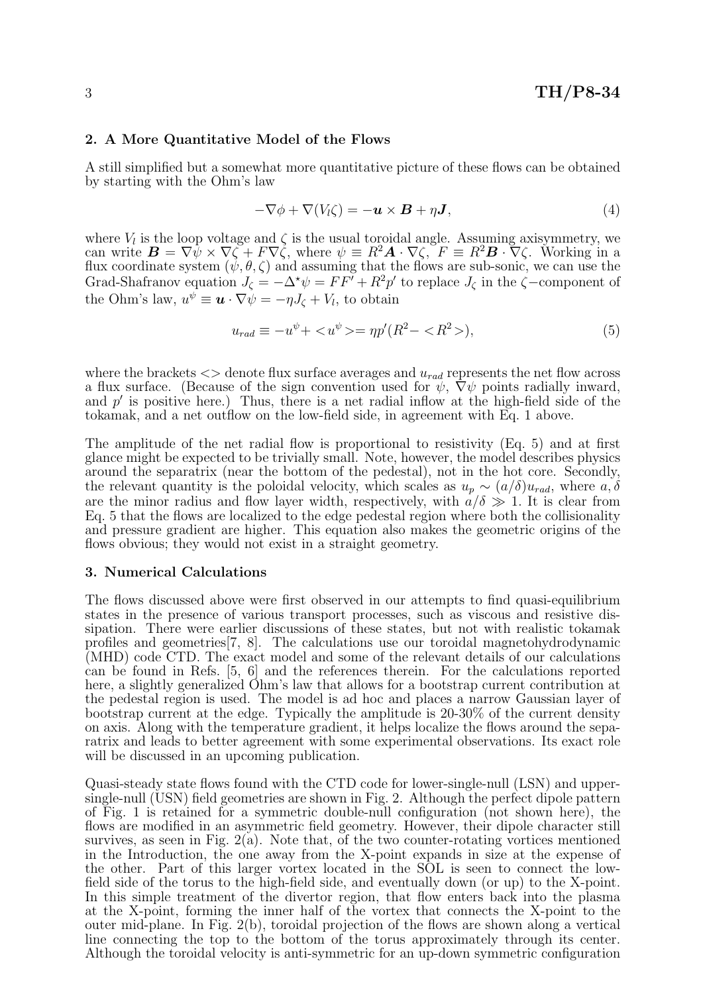### 2. A More Quantitative Model of the Flows

A still simplified but a somewhat more quantitative picture of these flows can be obtained by starting with the Ohm's law

$$
-\nabla \phi + \nabla (V_l \zeta) = -\boldsymbol{u} \times \boldsymbol{B} + \eta \boldsymbol{J}, \qquad (4)
$$

where  $V_l$  is the loop voltage and  $\zeta$  is the usual toroidal angle. Assuming axisymmetry, we can write  $\mathbf{B} = \nabla \psi \times \nabla \zeta + F \nabla \zeta$ , where  $\psi \equiv R^2 \mathbf{A} \cdot \nabla \zeta$ ,  $F \equiv R^2 \mathbf{B} \cdot \nabla \zeta$ . Working in a flux coordinate system  $(\psi, \theta, \zeta)$  and assuming that the flows are sub-sonic, we can use the Grad-Shafranov equation  $J_{\zeta} = -\Delta^* \psi = FF' + R^2p'$  to replace  $J_{\zeta}$  in the  $\zeta$ -component of the Ohm's law,  $u^{\psi} \equiv \boldsymbol{u} \cdot \nabla \psi = -\eta J_{\zeta} + V_{l}$ , to obtain

$$
u_{rad} \equiv -u^{\psi} + \langle u^{\psi} \rangle = \eta p'(R^2 - \langle R^2 \rangle), \tag{5}
$$

where the brackets  $\langle \rangle$  denote flux surface averages and  $u_{rad}$  represents the net flow across a flux surface. (Because of the sign convention used for  $\psi$ ,  $\nabla \psi$  points radially inward, and  $p'$  is positive here.) Thus, there is a net radial inflow at the high-field side of the tokamak, and a net outflow on the low-field side, in agreement with Eq. 1 above.

The amplitude of the net radial flow is proportional to resistivity (Eq. 5) and at first glance might be expected to be trivially small. Note, however, the model describes physics around the separatrix (near the bottom of the pedestal), not in the hot core. Secondly, the relevant quantity is the poloidal velocity, which scales as  $u_p \sim (a/\delta)u_{rad}$ , where  $a, \delta$ are the minor radius and flow layer width, respectively, with  $a/\delta \gg 1$ . It is clear from Eq. 5 that the flows are localized to the edge pedestal region where both the collisionality and pressure gradient are higher. This equation also makes the geometric origins of the flows obvious; they would not exist in a straight geometry.

#### 3. Numerical Calculations

The flows discussed above were first observed in our attempts to find quasi-equilibrium states in the presence of various transport processes, such as viscous and resistive dissipation. There were earlier discussions of these states, but not with realistic tokamak profiles and geometries[7, 8]. The calculations use our toroidal magnetohydrodynamic (MHD) code CTD. The exact model and some of the relevant details of our calculations can be found in Refs. [5, 6] and the references therein. For the calculations reported here, a slightly generalized Ohm's law that allows for a bootstrap current contribution at the pedestal region is used. The model is ad hoc and places a narrow Gaussian layer of bootstrap current at the edge. Typically the amplitude is 20-30% of the current density on axis. Along with the temperature gradient, it helps localize the flows around the separatrix and leads to better agreement with some experimental observations. Its exact role will be discussed in an upcoming publication.

Quasi-steady state flows found with the CTD code for lower-single-null (LSN) and uppersingle-null (USN) field geometries are shown in Fig. 2. Although the perfect dipole pattern of Fig. 1 is retained for a symmetric double-null configuration (not shown here), the flows are modified in an asymmetric field geometry. However, their dipole character still survives, as seen in Fig.  $2(a)$ . Note that, of the two counter-rotating vortices mentioned in the Introduction, the one away from the X-point expands in size at the expense of the other. Part of this larger vortex located in the SOL is seen to connect the lowfield side of the torus to the high-field side, and eventually down (or up) to the X-point. In this simple treatment of the divertor region, that flow enters back into the plasma at the X-point, forming the inner half of the vortex that connects the X-point to the outer mid-plane. In Fig. 2(b), toroidal projection of the flows are shown along a vertical line connecting the top to the bottom of the torus approximately through its center. Although the toroidal velocity is anti-symmetric for an up-down symmetric configuration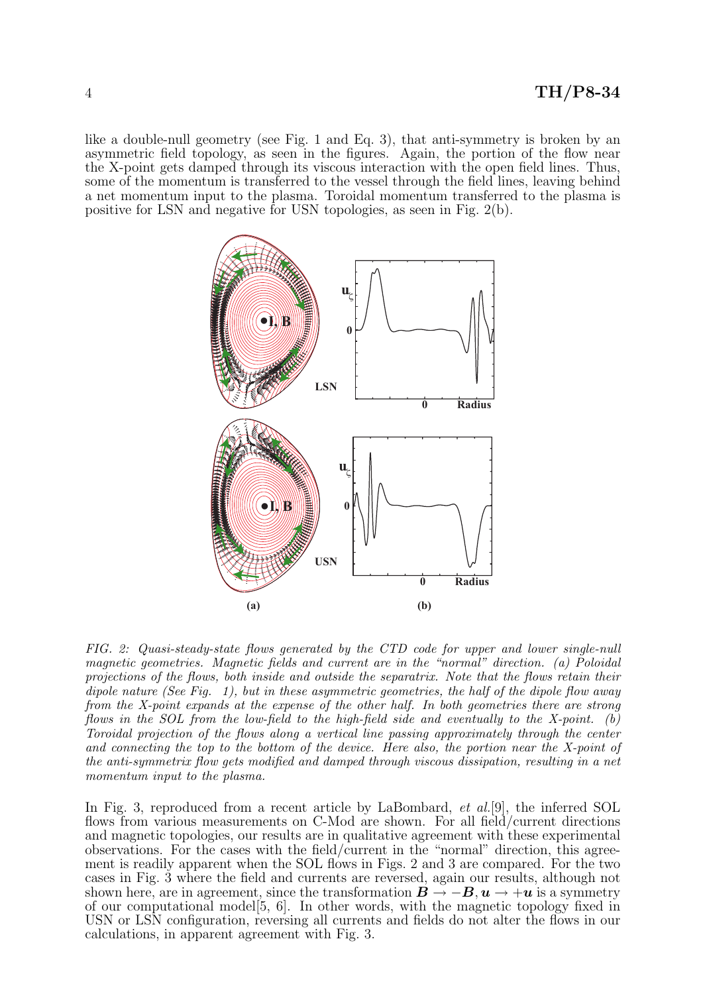like a double-null geometry (see Fig. 1 and Eq. 3), that anti-symmetry is broken by an asymmetric field topology, as seen in the figures. Again, the portion of the flow near the X-point gets damped through its viscous interaction with the open field lines. Thus, some of the momentum is transferred to the vessel through the field lines, leaving behind a net momentum input to the plasma. Toroidal momentum transferred to the plasma is positive for LSN and negative for USN topologies, as seen in Fig. 2(b).



FIG. 2: Quasi-steady-state flows generated by the CTD code for upper and lower single-null magnetic geometries. Magnetic fields and current are in the "normal" direction. (a) Poloidal projections of the flows, both inside and outside the separatrix. Note that the flows retain their dipole nature (See Fig. 1), but in these asymmetric geometries, the half of the dipole flow away from the X-point expands at the expense of the other half. In both geometries there are strong flows in the SOL from the low-field to the high-field side and eventually to the X-point. (b) Toroidal projection of the flows along a vertical line passing approximately through the center and connecting the top to the bottom of the device. Here also, the portion near the X-point of the anti-symmetrix flow gets modified and damped through viscous dissipation, resulting in a net momentum input to the plasma.

In Fig. 3, reproduced from a recent article by LaBombard, *et al.*[9], the inferred SOL flows from various measurements on C-Mod are shown. For all field/current directions and magnetic topologies, our results are in qualitative agreement with these experimental observations. For the cases with the field/current in the "normal" direction, this agreement is readily apparent when the SOL flows in Figs. 2 and 3 are compared. For the two cases in Fig. 3 where the field and currents are reversed, again our results, although not shown here, are in agreement, since the transformation  $\mathbf{B} \to -\mathbf{B}$ ,  $\mathbf{u} \to +\mathbf{u}$  is a symmetry of our computational model[5, 6]. In other words, with the magnetic topology fixed in USN or LSN configuration, reversing all currents and fields do not alter the flows in our calculations, in apparent agreement with Fig. 3.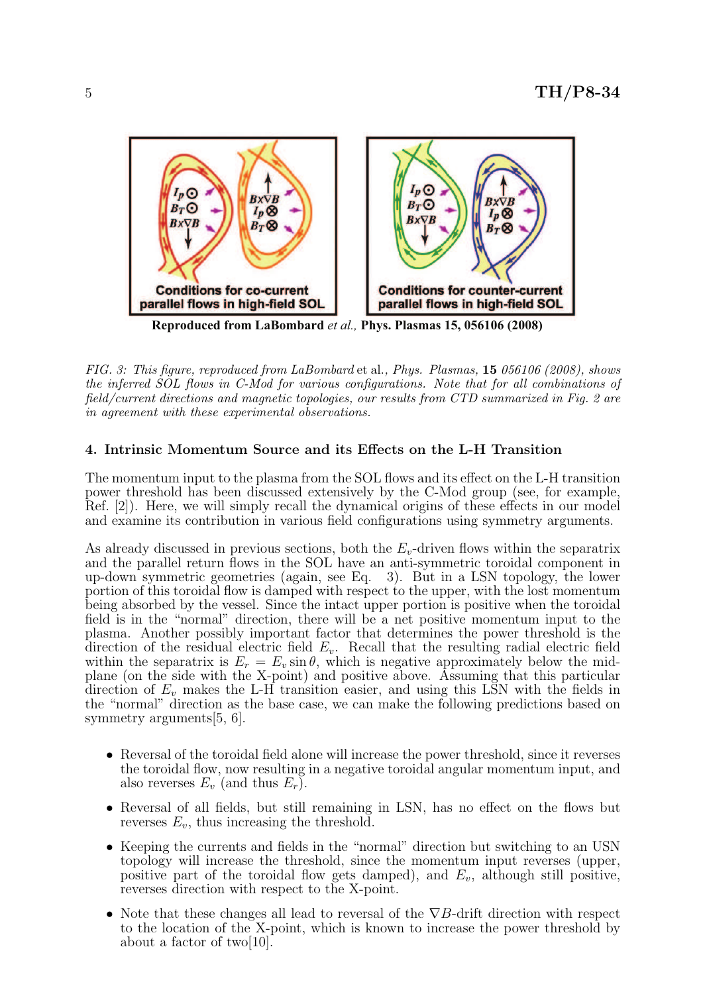

**Reproduced from LaBombard** *et al.,* **Phys. Plasmas 15, 056106 (2008)**

FIG. 3: This figure, reproduced from LaBombard et al., Phys. Plasmas, 15 056106 (2008), shows the inferred SOL flows in C-Mod for various configurations. Note that for all combinations of field/current directions and magnetic topologies, our results from CTD summarized in Fig. 2 are in agreement with these experimental observations.

# 4. Intrinsic Momentum Source and its Effects on the L-H Transition

The momentum input to the plasma from the SOL flows and its effect on the L-H transition power threshold has been discussed extensively by the C-Mod group (see, for example, Ref. [2]). Here, we will simply recall the dynamical origins of these effects in our model and examine its contribution in various field configurations using symmetry arguments.

As already discussed in previous sections, both the  $E_v$ -driven flows within the separatrix and the parallel return flows in the SOL have an anti-symmetric toroidal component in up-down symmetric geometries (again, see Eq. 3). But in a LSN topology, the lower portion of this toroidal flow is damped with respect to the upper, with the lost momentum being absorbed by the vessel. Since the intact upper portion is positive when the toroidal field is in the "normal" direction, there will be a net positive momentum input to the plasma. Another possibly important factor that determines the power threshold is the direction of the residual electric field  $E_v$ . Recall that the resulting radial electric field within the separatrix is  $E_r = E_v \sin \theta$ , which is negative approximately below the midplane (on the side with the X-point) and positive above. Assuming that this particular direction of  $E_v$  makes the L-H transition easier, and using this LSN with the fields in the "normal" direction as the base case, we can make the following predictions based on symmetry arguments[5, 6].

- Reversal of the toroidal field alone will increase the power threshold, since it reverses the toroidal flow, now resulting in a negative toroidal angular momentum input, and also reverses  $E_v$  (and thus  $E_r$ ).
- Reversal of all fields, but still remaining in LSN, has no effect on the flows but reverses  $E_v$ , thus increasing the threshold.
- Keeping the currents and fields in the "normal" direction but switching to an USN topology will increase the threshold, since the momentum input reverses (upper, positive part of the toroidal flow gets damped), and  $E_v$ , although still positive, reverses direction with respect to the X-point.
- Note that these changes all lead to reversal of the  $\nabla B$ -drift direction with respect to the location of the X-point, which is known to increase the power threshold by about a factor of two $|10|$ .